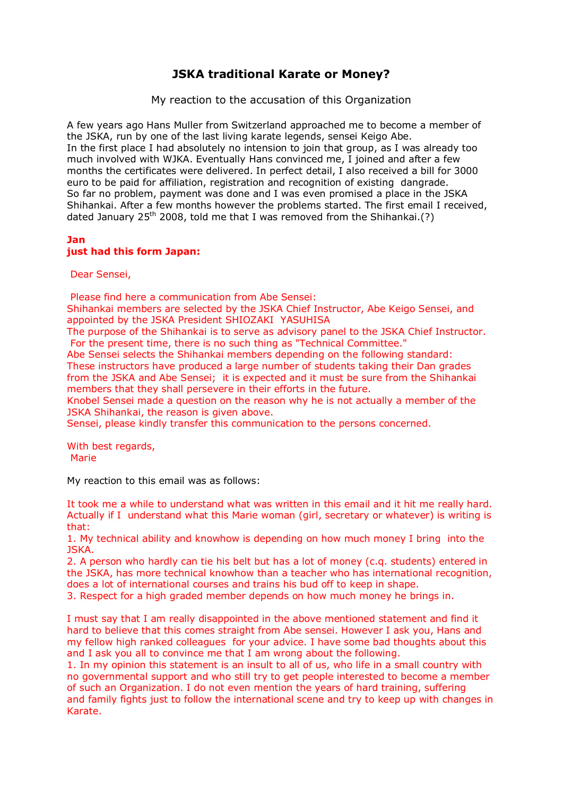## **JSKA traditional Karate or Money?**

My reaction to the accusation of this Organization

A few years ago Hans Muller from Switzerland approached me to become a member of the JSKA, run by one of the last living karate legends, sensei Keigo Abe. In the first place I had absolutely no intension to join that group, as I was already too much involved with WJKA. Eventually Hans convinced me, I joined and after a few months the certificates were delivered. In perfect detail, I also received a bill for 3000 euro to be paid for affiliation, registration and recognition of existing dangrade. So far no problem, payment was done and I was even promised a place in the JSKA Shihankai. After a few months however the problems started. The first email I received, dated January 25<sup>th</sup> 2008, told me that I was removed from the Shihankai.(?)

## **Jan just had this form Japan:**

Dear Sensei,

Please find here a communication from Abe Sensei:

Shihankai members are selected by the JSKA Chief Instructor, Abe Keigo Sensei, and appointed by the JSKA President SHIOZAKI YASUHISA

The purpose of the Shihankai is to serve as advisory panel to the JSKA Chief Instructor. For the present time, there is no such thing as "Technical Committee."

Abe Sensei selects the Shihankai members depending on the following standard: These instructors have produced a large number of students taking their Dan grades from the JSKA and Abe Sensei; it is expected and it must be sure from the Shihankai members that they shall persevere in their efforts in the future.

Knobel Sensei made a question on the reason why he is not actually a member of the JSKA Shihankai, the reason is given above.

Sensei, please kindly transfer this communication to the persons concerned.

With best regards, Marie

My reaction to this email was as follows:

It took me a while to understand what was written in this email and it hit me really hard. Actually if I understand what this Marie woman (girl, secretary or whatever) is writing is that:

1. My technical ability and knowhow is depending on how much money I bring into the JSKA.

2. A person who hardly can tie his belt but has a lot of money (c.q. students) entered in the JSKA, has more technical knowhow than a teacher who has international recognition, does a lot of international courses and trains his bud off to keep in shape.

3. Respect for a high graded member depends on how much money he brings in.

I must say that I am really disappointed in the above mentioned statement and find it hard to believe that this comes straight from Abe sensei. However I ask you, Hans and my fellow high ranked colleagues for your advice. I have some bad thoughts about this and I ask you all to convince me that I am wrong about the following.

1. In my opinion this statement is an insult to all of us, who life in a small country with no governmental support and who still try to get people interested to become a member of such an Organization. I do not even mention the years of hard training, suffering and family fights just to follow the international scene and try to keep up with changes in Karate.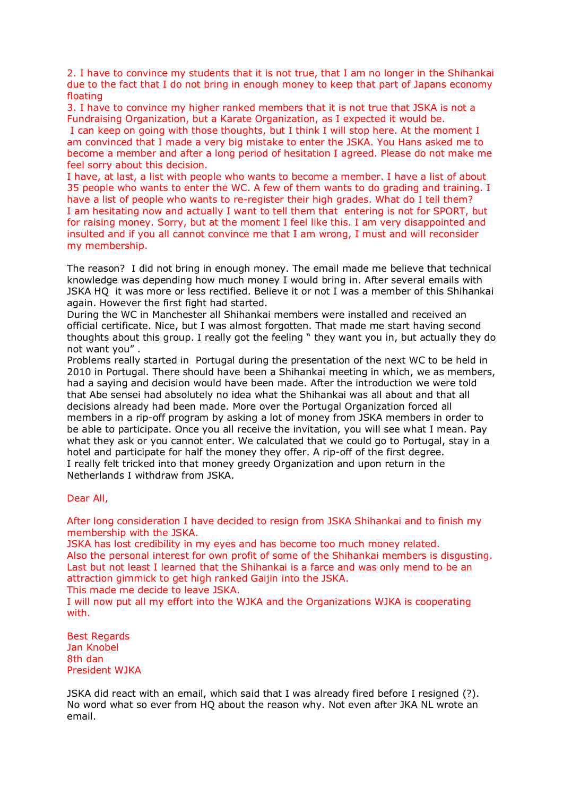2. I have to convince my students that it is not true, that I am no longer in the Shihankai due to the fact that I do not bring in enough money to keep that part of Japans economy floating

3. I have to convince my higher ranked members that it is not true that JSKA is not a Fundraising Organization, but a Karate Organization, as I expected it would be.

 I can keep on going with those thoughts, but I think I will stop here. At the moment I am convinced that I made a very big mistake to enter the JSKA. You Hans asked me to become a member and after a long period of hesitation I agreed. Please do not make me feel sorry about this decision.

I have, at last, a list with people who wants to become a member. I have a list of about 35 people who wants to enter the WC. A few of them wants to do grading and training. I have a list of people who wants to re-register their high grades. What do I tell them? I am hesitating now and actually I want to tell them that entering is not for SPORT, but for raising money. Sorry, but at the moment I feel like this. I am very disappointed and insulted and if you all cannot convince me that I am wrong, I must and will reconsider my membership.

The reason? I did not bring in enough money. The email made me believe that technical knowledge was depending how much money I would bring in. After several emails with JSKA HQ it was more or less rectified. Believe it or not I was a member of this Shihankai again. However the first fight had started.

During the WC in Manchester all Shihankai members were installed and received an official certificate. Nice, but I was almost forgotten. That made me start having second thoughts about this group. I really got the feeling " they want you in, but actually they do not want you" .

Problems really started in Portugal during the presentation of the next WC to be held in 2010 in Portugal. There should have been a Shihankai meeting in which, we as members, had a saying and decision would have been made. After the introduction we were told that Abe sensei had absolutely no idea what the Shihankai was all about and that all decisions already had been made. More over the Portugal Organization forced all members in a rip-off program by asking a lot of money from JSKA members in order to be able to participate. Once you all receive the invitation, you will see what I mean. Pay what they ask or you cannot enter. We calculated that we could go to Portugal, stay in a hotel and participate for half the money they offer. A rip-off of the first degree. I really felt tricked into that money greedy Organization and upon return in the Netherlands I withdraw from JSKA.

Dear All,

After long consideration I have decided to resign from JSKA Shihankai and to finish my membership with the JSKA.

JSKA has lost credibility in my eyes and has become too much money related. Also the personal interest for own profit of some of the Shihankai members is disgusting. Last but not least I learned that the Shihankai is a farce and was only mend to be an attraction gimmick to get high ranked Gaijin into the JSKA.

This made me decide to leave JSKA.

I will now put all my effort into the WJKA and the Organizations WJKA is cooperating with.

Best Regards Jan Knobel 8th dan President WJKA

JSKA did react with an email, which said that I was already fired before I resigned (?). No word what so ever from HQ about the reason why. Not even after JKA NL wrote an email.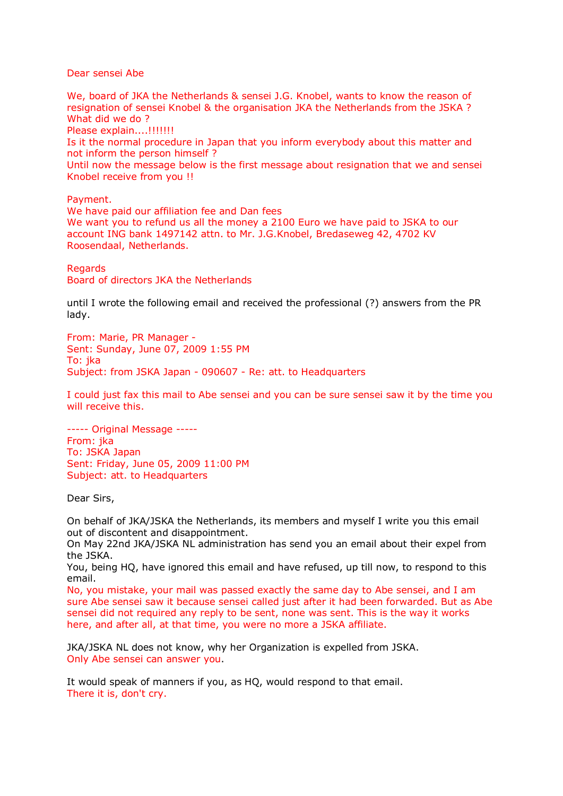Dear sensei Abe

We, board of JKA the Netherlands & sensei J.G. Knobel, wants to know the reason of resignation of sensei Knobel & the organisation JKA the Netherlands from the JSKA ? What did we do ?

Please explain....!!!!!!!!

Is it the normal procedure in Japan that you inform everybody about this matter and not inform the person himself ?

Until now the message below is the first message about resignation that we and sensei Knobel receive from you !!

Payment.

We have paid our affiliation fee and Dan fees We want you to refund us all the money a 2100 Euro we have paid to JSKA to our account ING bank 1497142 attn. to Mr. J.G.Knobel, Bredaseweg 42, 4702 KV Roosendaal, Netherlands.

**Regards** 

Board of directors JKA the Netherlands

until I wrote the following email and received the professional (?) answers from the PR lady.

From: Marie, PR Manager - Sent: Sunday, June 07, 2009 1:55 PM To: ika Subject: from JSKA Japan - 090607 - Re: att. to Headquarters

I could just fax this mail to Abe sensei and you can be sure sensei saw it by the time you will receive this.

----- Original Message ----- From: jka To: JSKA Japan Sent: Friday, June 05, 2009 11:00 PM Subject: att. to Headquarters

Dear Sirs,

On behalf of JKA/JSKA the Netherlands, its members and myself I write you this email out of discontent and disappointment.

On May 22nd JKA/JSKA NL administration has send you an email about their expel from the JSKA.

You, being HQ, have ignored this email and have refused, up till now, to respond to this email.

No, you mistake, your mail was passed exactly the same day to Abe sensei, and I am sure Abe sensei saw it because sensei called just after it had been forwarded. But as Abe sensei did not required any reply to be sent, none was sent. This is the way it works here, and after all, at that time, you were no more a JSKA affiliate.

JKA/JSKA NL does not know, why her Organization is expelled from JSKA. Only Abe sensei can answer you.

It would speak of manners if you, as HQ, would respond to that email. There it is, don't cry.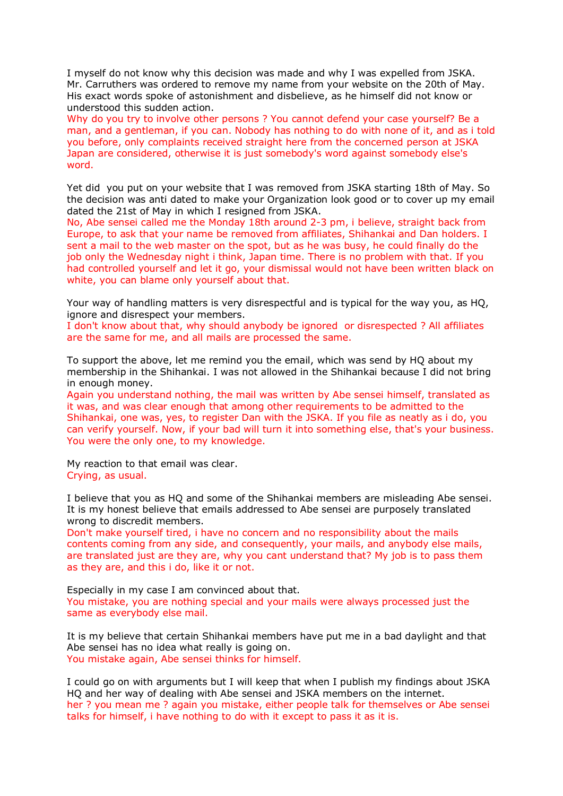I myself do not know why this decision was made and why I was expelled from JSKA. Mr. Carruthers was ordered to remove my name from your website on the 20th of May. His exact words spoke of astonishment and disbelieve, as he himself did not know or understood this sudden action.

Why do you try to involve other persons ? You cannot defend your case yourself? Be a man, and a gentleman, if you can. Nobody has nothing to do with none of it, and as i told you before, only complaints received straight here from the concerned person at JSKA Japan are considered, otherwise it is just somebody's word against somebody else's word.

Yet did you put on your website that I was removed from JSKA starting 18th of May. So the decision was anti dated to make your Organization look good or to cover up my email dated the 21st of May in which I resigned from JSKA.

No, Abe sensei called me the Monday 18th around 2-3 pm, i believe, straight back from Europe, to ask that your name be removed from affiliates, Shihankai and Dan holders. I sent a mail to the web master on the spot, but as he was busy, he could finally do the job only the Wednesday night i think, Japan time. There is no problem with that. If you had controlled yourself and let it go, your dismissal would not have been written black on white, you can blame only yourself about that.

Your way of handling matters is very disrespectful and is typical for the way you, as HQ, ignore and disrespect your members.

I don't know about that, why should anybody be ignored or disrespected ? All affiliates are the same for me, and all mails are processed the same.

To support the above, let me remind you the email, which was send by HQ about my membership in the Shihankai. I was not allowed in the Shihankai because I did not bring in enough money.

Again you understand nothing, the mail was written by Abe sensei himself, translated as it was, and was clear enough that among other requirements to be admitted to the Shihankai, one was, yes, to register Dan with the JSKA. If you file as neatly as i do, you can verify yourself. Now, if your bad will turn it into something else, that's your business. You were the only one, to my knowledge.

My reaction to that email was clear. Crying, as usual.

I believe that you as HQ and some of the Shihankai members are misleading Abe sensei. It is my honest believe that emails addressed to Abe sensei are purposely translated wrong to discredit members.

Don't make yourself tired, i have no concern and no responsibility about the mails contents coming from any side, and consequently, your mails, and anybody else mails, are translated just are they are, why you cant understand that? My job is to pass them as they are, and this i do, like it or not.

Especially in my case I am convinced about that. You mistake, you are nothing special and your mails were always processed just the same as everybody else mail.

It is my believe that certain Shihankai members have put me in a bad daylight and that Abe sensei has no idea what really is going on. You mistake again, Abe sensei thinks for himself.

I could go on with arguments but I will keep that when I publish my findings about JSKA HQ and her way of dealing with Abe sensei and JSKA members on the internet. her ? you mean me ? again you mistake, either people talk for themselves or Abe sensei talks for himself, i have nothing to do with it except to pass it as it is.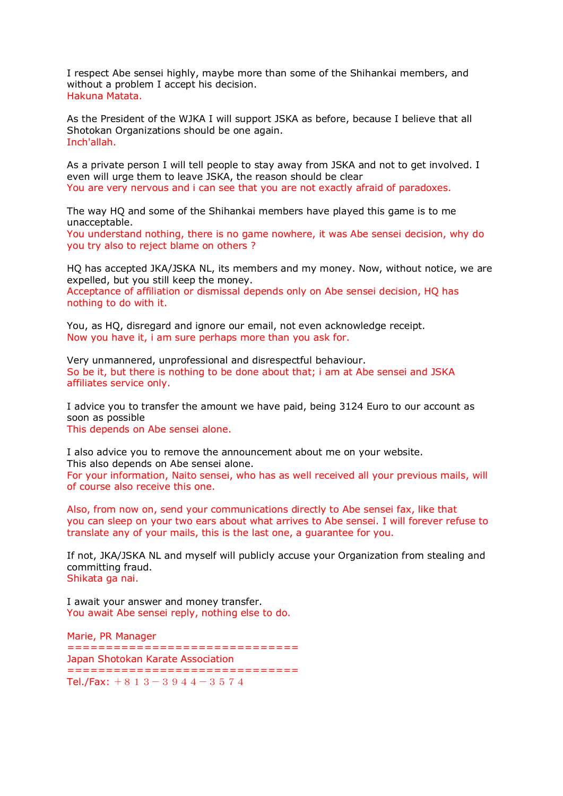I respect Abe sensei highly, maybe more than some of the Shihankai members, and without a problem I accept his decision. Hakuna Matata.

As the President of the WJKA I will support JSKA as before, because I believe that all Shotokan Organizations should be one again. Inch'allah.

As a private person I will tell people to stay away from JSKA and not to get involved. I even will urge them to leave JSKA, the reason should be clear You are very nervous and i can see that you are not exactly afraid of paradoxes.

The way HQ and some of the Shihankai members have played this game is to me unacceptable.

You understand nothing, there is no game nowhere, it was Abe sensei decision, why do you try also to reject blame on others ?

HQ has accepted JKA/JSKA NL, its members and my money. Now, without notice, we are expelled, but you still keep the money. Acceptance of affiliation or dismissal depends only on Abe sensei decision, HQ has nothing to do with it.

You, as HQ, disregard and ignore our email, not even acknowledge receipt. Now you have it, i am sure perhaps more than you ask for.

Very unmannered, unprofessional and disrespectful behaviour. So be it, but there is nothing to be done about that; i am at Abe sensei and JSKA affiliates service only.

I advice you to transfer the amount we have paid, being 3124 Euro to our account as soon as possible This depends on Abe sensei alone.

I also advice you to remove the announcement about me on your website. This also depends on Abe sensei alone. For your information, Naito sensei, who has as well received all your previous mails, will of course also receive this one.

Also, from now on, send your communications directly to Abe sensei fax, like that you can sleep on your two ears about what arrives to Abe sensei. I will forever refuse to translate any of your mails, this is the last one, a guarantee for you.

If not, JKA/JSKA NL and myself will publicly accuse your Organization from stealing and committing fraud. Shikata ga nai.

I await your answer and money transfer. You await Abe sensei reply, nothing else to do.

Marie, PR Manager ============================== Japan Shotokan Karate Association ============================== Tel./Fax:  $+813-3944-3574$